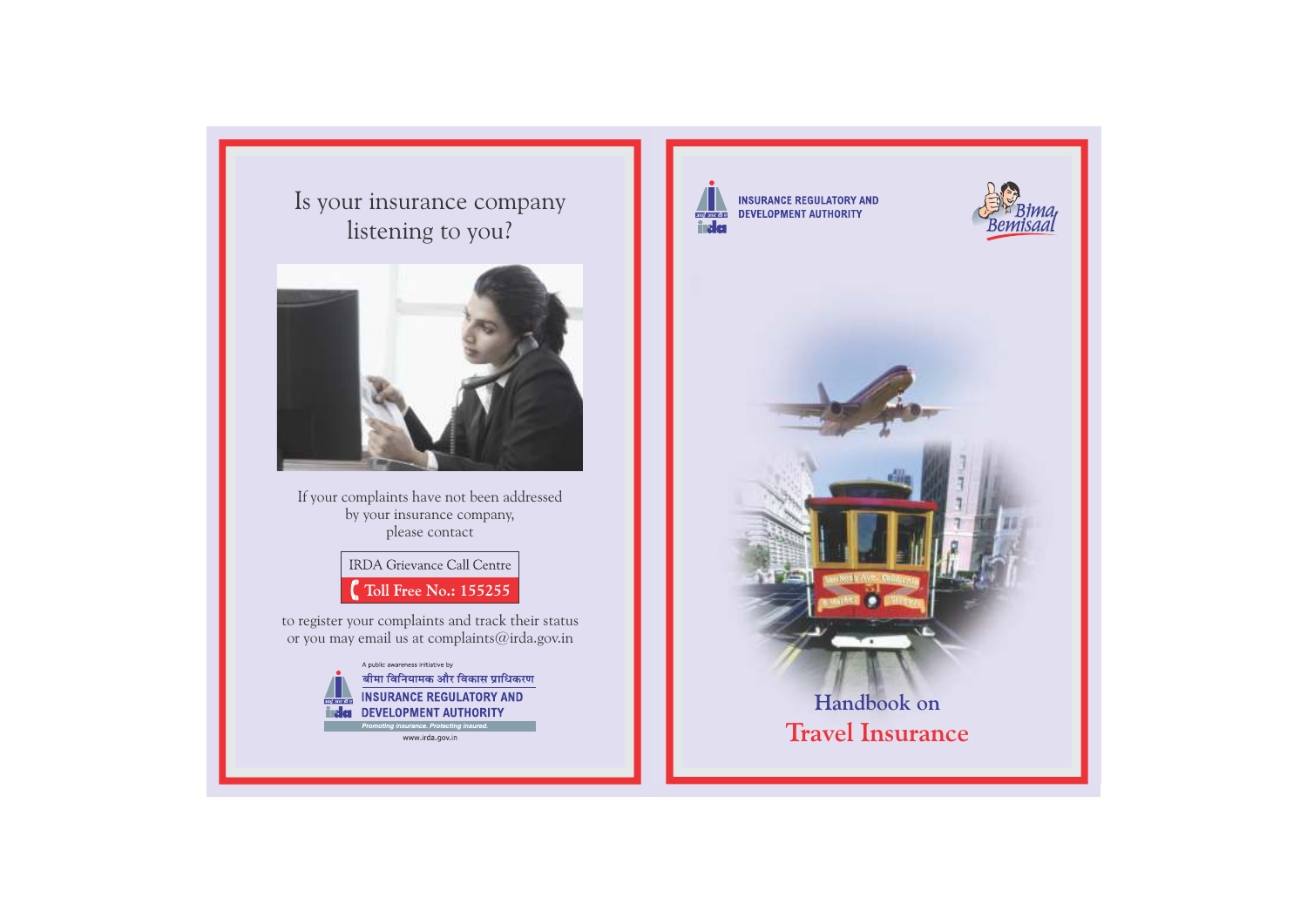Is your insurance company listening to you?



If your complaints have not been addressed by your insurance company, please contact

> **IRDA** Grievance Call Centre Toll Free No.: 155255

to register your complaints and track their status or you may email us at complaints@irda.gov.in



www.irda.gov.in



**INSURANCE REGULATORY AND DEVELOPMENT AUTHORITY** 



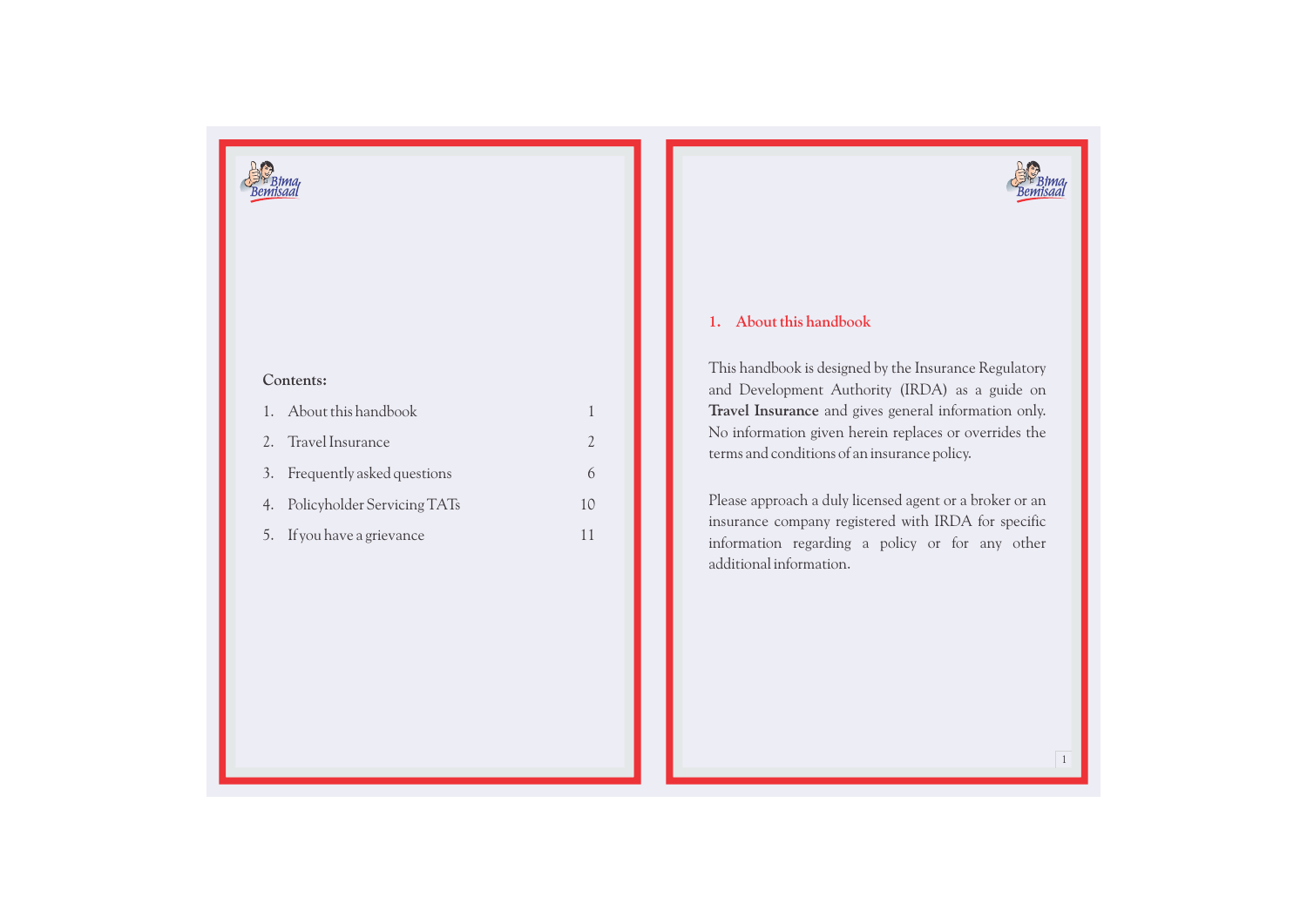

### **Contents:**

| 1. About this handbook         |    |
|--------------------------------|----|
| 2. Travel Insurance            |    |
| 3. Frequently asked questions  |    |
| 4. Policyholder Servicing TATs | 10 |
| 5. If you have a grievance     |    |

# **1. About this handbook**

This handbook is designed by the Insurance Regulatory and Development Authority (IRDA) as a guide on **Travel Insurance** and gives general information only. No information given herein replaces or overrides the terms and conditions of an insurance policy.

Please approach a duly licensed agent or a broker or an insurance company registered with IRDA for specific information regarding a policy or for any other additional information.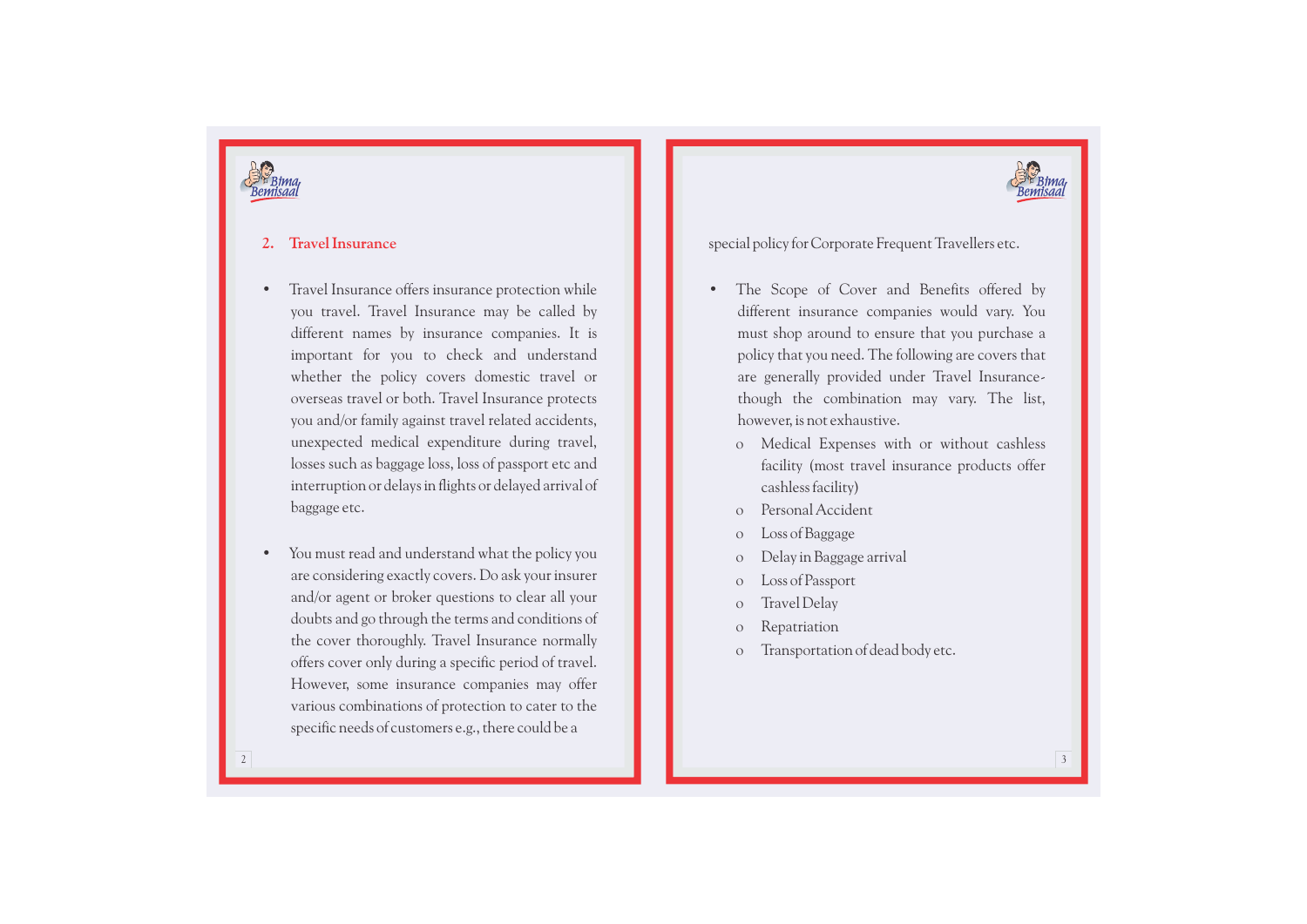



### **2. Travel Insurance**

- Travel Insurance offers insurance protection while you travel. Travel Insurance may be called by different names by insurance companies. It is important for you to check and understand whether the policy covers domestic travel or overseas travel or both. Travel Insurance protects you and/or family against travel related accidents, unexpected medical expenditure during travel, losses such as baggage loss, loss of passport etc and interruption or delays in flights or delayed arrival of baggage etc.
- You must read and understand what the policy you are considering exactly covers. Do ask your insurer and/or agent or broker questions to clear all your doubts and go through the terms and conditions of the cover thoroughly. Travel Insurance normally offers cover only during a specific period of travel. However, some insurance companies may offer various combinations of protection to cater to the specific needs of customers e.g., there could be a

special policy for Corporate Frequent Travellers etc.

- The Scope of Cover and Benefits offered by different insurance companies would vary. You must shop around to ensure that you purchase a policy that you need. The following are covers that are generally provided under Travel Insurancethough the combination may vary. The list, however, is not exhaustive.
	- o Medical Expenses with or without cashless facility (most travel insurance products offer cashless facility)
	- Personal Accident
	- o Loss of Baggage
	- o Delay in Baggage arrival
	- o Loss of Passport
	- o Travel Delay
	- o Repatriation
	- o Transportation of dead body etc.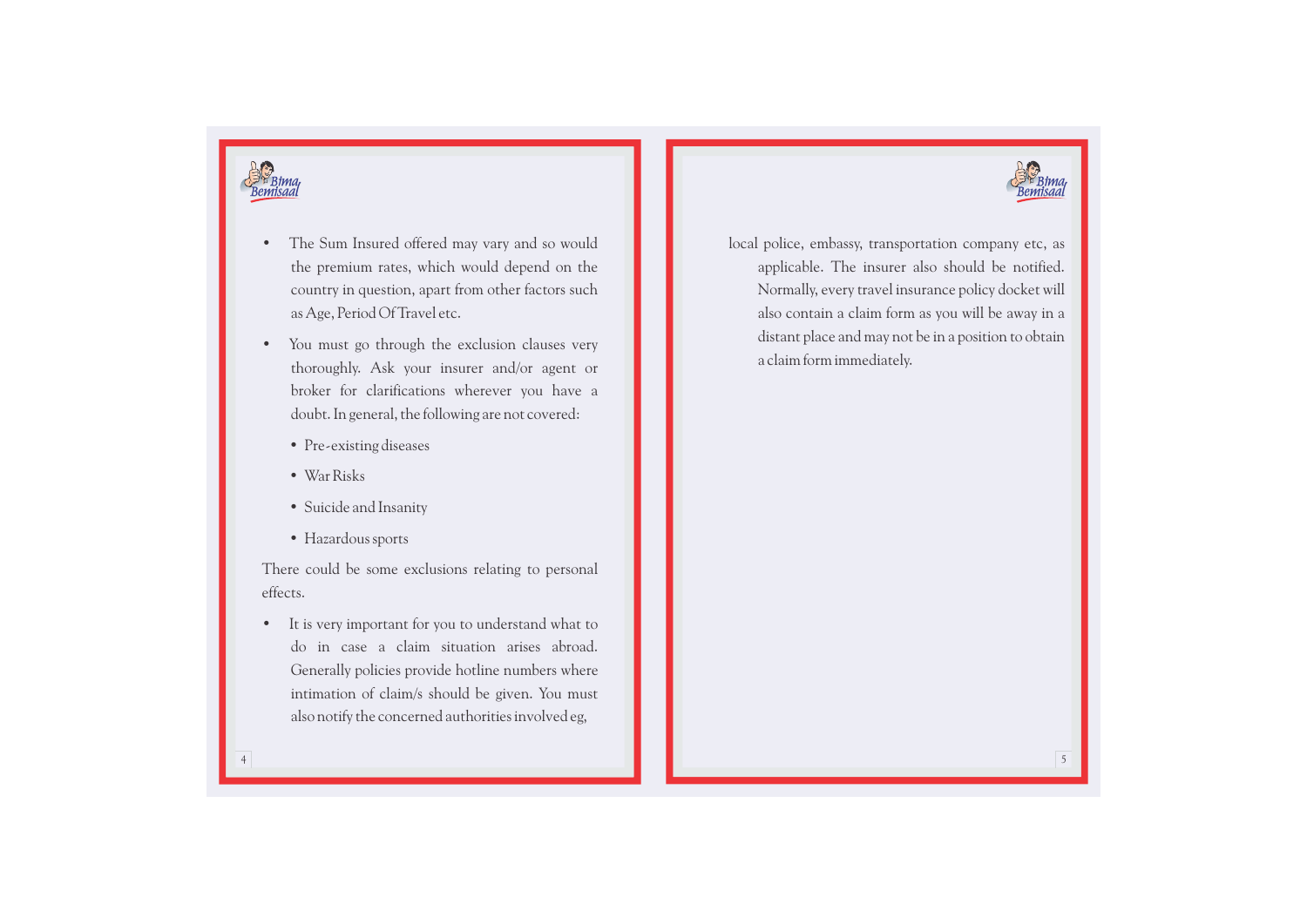



- The Sum Insured offered may vary and so would the premium rates, which would depend on the country in question, apart from other factors such as Age, Period Of Travel etc.
- You must go through the exclusion clauses very thoroughly. Ask your insurer and/or agent or broker for clarifications wherever you have a doubt. In general, the following are not covered:
	- Pre-existing diseases
	- War Risks
	- Suicide and Insanity
	- Hazardous sports

There could be some exclusions relating to personal effects.

It is very important for you to understand what to do in case a claim situation arises abroad. Generally policies provide hotline numbers where intimation of claim/s should be given. You must also notify the concerned authorities involved eg,

local police, embassy, transportation company etc, as applicable. The insurer also should be notified. Normally, every travel insurance policy docket will also contain a claim form as you will be away in a distant place and may not be in a position to obtain a claim form immediately.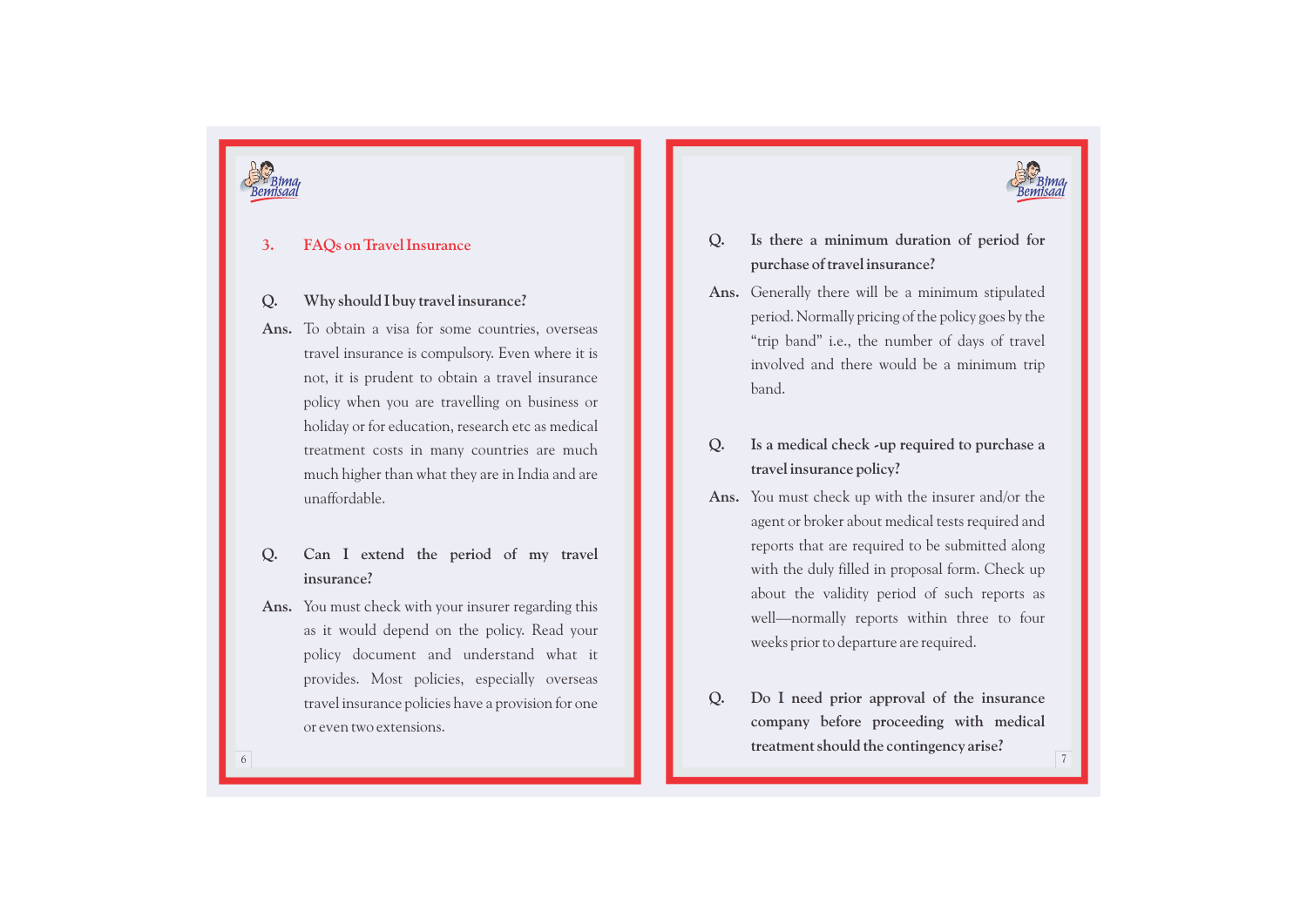



#### **3. F AQs on Travel Insurance**

### **Q . Why should I buy travel insurance?**

- **Ans.** To obtain a visa for some countries, overseas travel insurance is compulsory. Even where it is not, it is prudent to obtain a travel insurance policy when you are travelling on business or holiday or for education, research etc as medical treatment costs in many countries are much much higher than what they are in India and are unaffordable.
- **Q . Can I extend the period of my travel insurance?**
- **Ans.** You must check with your insurer regarding this as it would depend on the policy. Read your policy document and understand what it provides. Most policies, especially overseas travel insurance policies have a provision for one or even two extensions.
- **Q . Is there a minimum duration of period for purchase of travel insurance?**
- **Ans.** Generally there will be a minimum stipulated period. Normally pricing of the policy goes by the "trip band" i.e., the number of days of travel involved and there would be a minimum trip band.
- **Q . Is a medical check -up required to purchase a travel insurance policy?**
- **Ans.** You must check up with the insurer and/or the agent or broker about medical tests required and reports that are required to be submitted along with the duly filled in proposal form. Check up about the validity period of such reports as well—normally reports within three to four weeks prior to departure are required.
- **Q . Do I need prior approval of the insurance company before proceeding with medical treatment should the contingency arise?**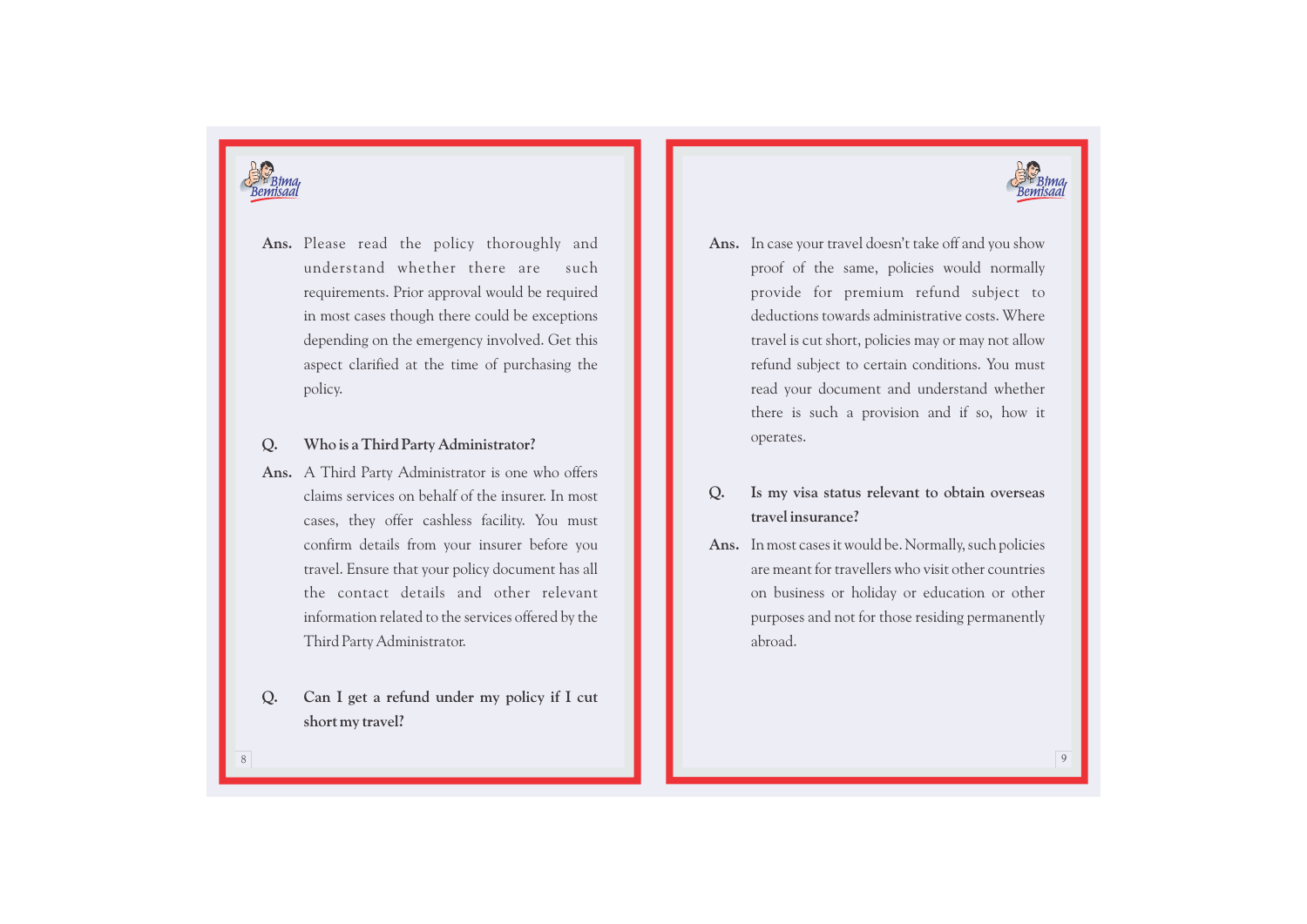



Ans. Please read the policy thoroughly and **Ans.** understand whether there are such requirements. Prior approval would be required in most cases though there could be exceptions depending on the emergency involved. Get this aspect clarified at the time of purchasing the policy.

### **Q. Who is a Third Party Administrator?**

- **Ans.** A Third Party Administrator is one who offers claims services on behalf of the insurer. In most cases, they offer cashless facility. You must confirm details from your insurer before you travel. Ensure that your policy document has all the contact details and other relevant information related to the services offered by the Third Party Administrator.
- **Q. Can I get a refund under my policy if I cut short my travel?**
- proof of the same, policies would normally provide for premium refund subject to deductions towards administrative costs. Where travel is cut short, policies may or may not allow refund subject to certain conditions. You must read your document and understand whether there is such a provision and if so, how it operates. Ans. In case your travel doesn't take off and you show
- **Q. Is my visa status relevant to obtain overseas travel insurance?**
- **Ans.** In most cases it would be. Normally, such policies are meant for travellers who visit other countries on business or holiday or education or other purposes and not for those residing permanently abroad.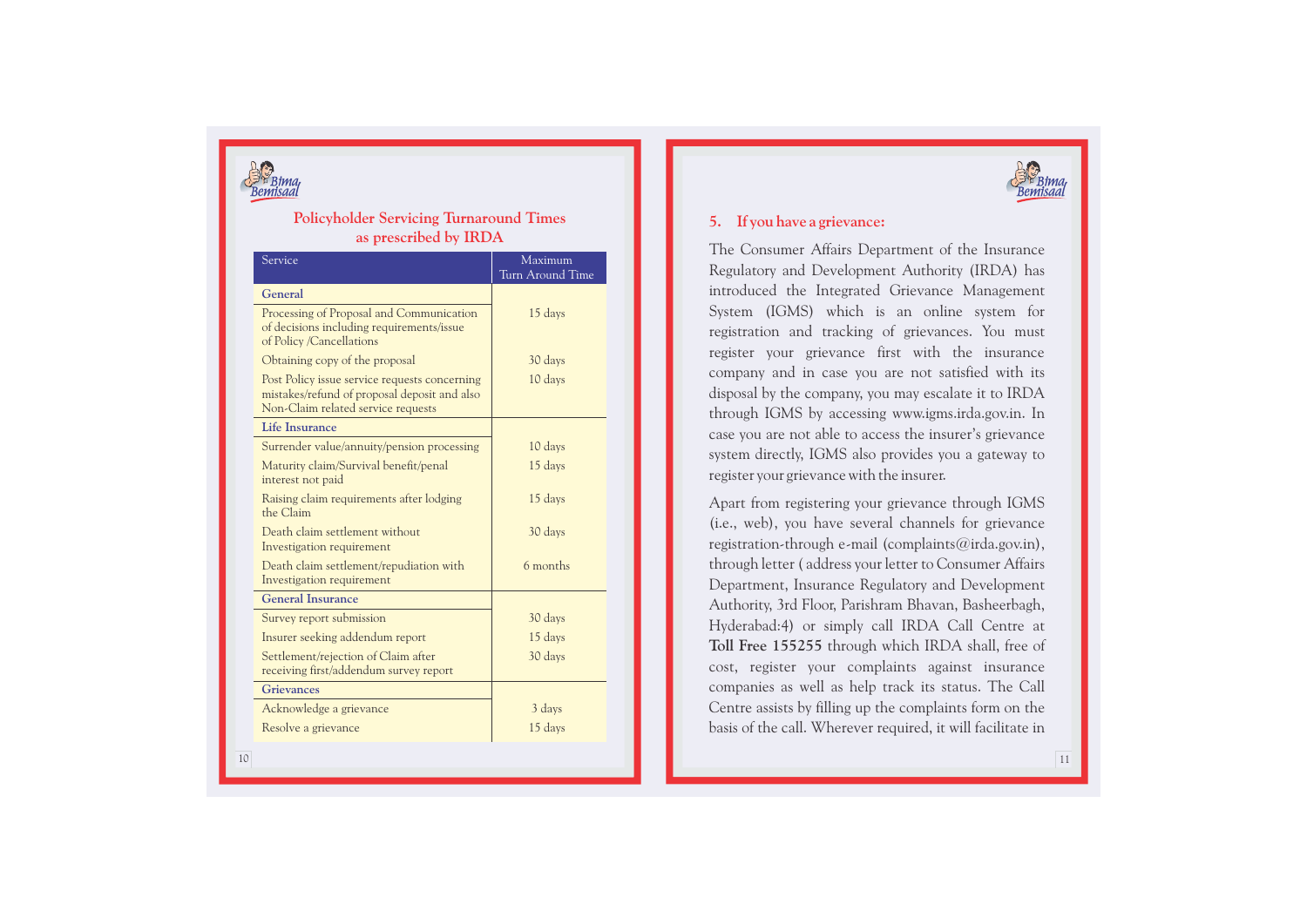

### **Policyholder Servicing Turnaround Times as prescribed by IRD A**

| Service                                                                                                                             | Maximum<br>Turn Around Time |
|-------------------------------------------------------------------------------------------------------------------------------------|-----------------------------|
| General                                                                                                                             |                             |
| Processing of Proposal and Communication<br>of decisions including requirements/issue<br>of Policy /Cancellations                   | 15 days                     |
| Obtaining copy of the proposal                                                                                                      | 30 days                     |
| Post Policy issue service requests concerning<br>mistakes/refund of proposal deposit and also<br>Non-Claim related service requests | 10 days                     |
| Life Insurance                                                                                                                      |                             |
| Surrender value/annuity/pension processing                                                                                          | 10 days                     |
| Maturity claim/Survival benefit/penal<br>interest not paid                                                                          | 15 days                     |
| Raising claim requirements after lodging<br>the Claim                                                                               | 15 days                     |
| Death claim settlement without<br>Investigation requirement                                                                         | 30 days                     |
| Death claim settlement/repudiation with<br>Investigation requirement                                                                | 6 months                    |
| <b>General Insurance</b>                                                                                                            |                             |
| Survey report submission                                                                                                            | 30 days                     |
| Insurer seeking addendum report                                                                                                     | 15 days                     |
| Settlement/rejection of Claim after<br>receiving first/addendum survey report                                                       | 30 days                     |
| <b>Grievances</b>                                                                                                                   |                             |
| Acknowledge a grievance                                                                                                             | 3 days                      |
| Resolve a grievance                                                                                                                 | 15 days                     |



## **5. If you have a grievance:**

The Consumer Affairs Department of the Insurance Regulatory and Development Authority (IRDA) has introduced the Integrated Grievance Management System (IGMS) which is an online system for registration and tracking of grievances. You must register your grievance first with the insurance company and in case you are not satisfied with its disposal by the company, you may escalate it to IRDA through IGMS by accessing www.igms.irda.gov.in. In case you are not able to access the insurer's grievance system directly, IGMS also provides you a gateway to register your grievance with the insurer.

Apart from registering your grievance through IGMS (i.e., web), you have several channels for grievance registration-through e-mail (complaints@irda.gov.in), through letter ( address your letter to Consumer Affairs Department, Insurance Regulatory and Development Authority, 3rd Floor, Parishram Bhavan, Basheerbagh, Hyderabad:4) or simply call IRDA Call Centre at **Toll Free 155255** through which IRDA shall, free of cost, register your complaints against insurance companies as well as help track its status. The Call Centre assists by filling up the complaints form on the basis of the call. Wherever required, it will facilitate in